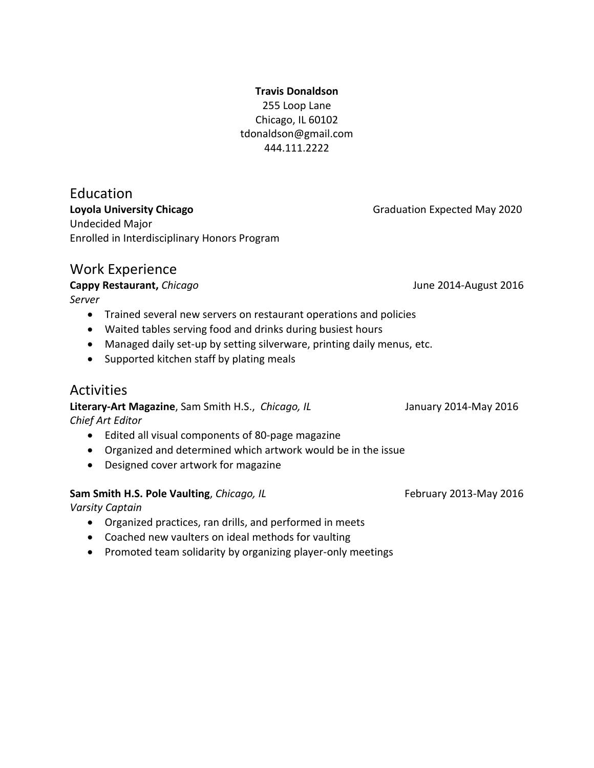## **Travis Donaldson** 255 Loop Lane Chicago, IL 60102 tdonaldson@gmail.com 444.111.2222

Education **Loyola University Chicago** Chicago Chicago Chicago Graduation Expected May 2020 Undecided Major Enrolled in Interdisciplinary Honors Program

# Work Experience

# **Cappy Restaurant,** *Chicago* **Cappy Restaurant,** *Chicago* June 2014-August 2016

*Server*

- Trained several new servers on restaurant operations and policies
- Waited tables serving food and drinks during busiest hours
- Managed daily set-up by setting silverware, printing daily menus, etc.
- Supported kitchen staff by plating meals

# **Activities**

**Literary-Art Magazine**, Sam Smith H.S., *Chicago, IL* January 2014-May 2016 *Chief Art Editor*

- Edited all visual components of 80-page magazine
- Organized and determined which artwork would be in the issue
- Designed cover artwork for magazine

# **Sam Smith H.S. Pole Vaulting**, *Chicago, IL* **Exam Smith H.S. Pole Vaulting**, *Chicago, IL* **Example 2014** February 2013-May 2016

*Varsity Captain*

- Organized practices, ran drills, and performed in meets
- Coached new vaulters on ideal methods for vaulting
- Promoted team solidarity by organizing player-only meetings